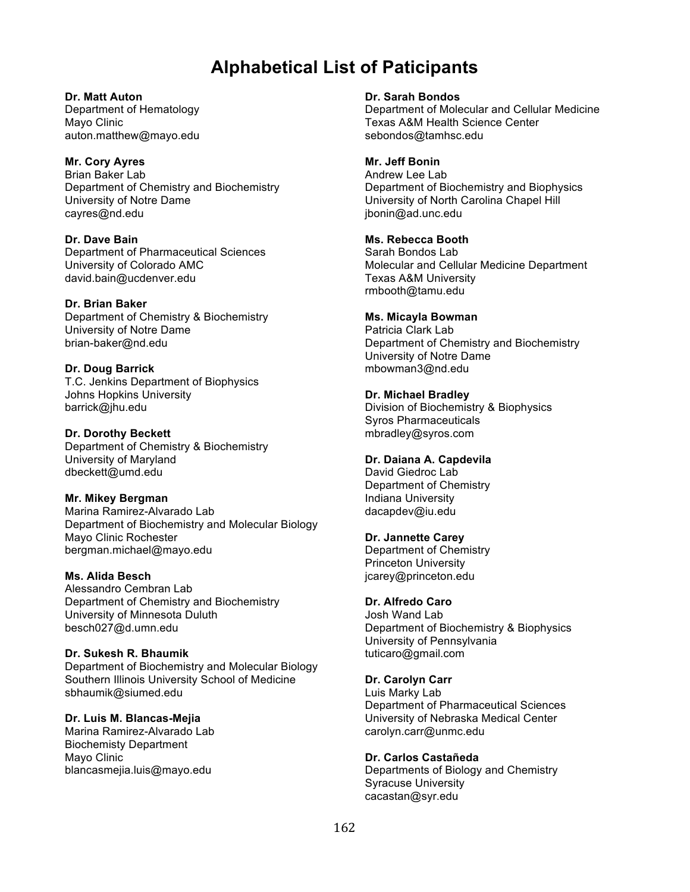# **Alphabetical List of Paticipants**

**Dr. Matt Auton** Department of Hematology Mayo Clinic auton.matthew@mayo.edu

# **Mr. Cory Ayres**

Brian Baker Lab Department of Chemistry and Biochemistry University of Notre Dame cayres@nd.edu

**Dr. Dave Bain** Department of Pharmaceutical Sciences University of Colorado AMC david.bain@ucdenver.edu

**Dr. Brian Baker** Department of Chemistry & Biochemistry University of Notre Dame brian-baker@nd.edu

**Dr. Doug Barrick** T.C. Jenkins Department of Biophysics Johns Hopkins University barrick@jhu.edu

**Dr. Dorothy Beckett** Department of Chemistry & Biochemistry University of Maryland dbeckett@umd.edu

## **Mr. Mikey Bergman**

Marina Ramirez-Alvarado Lab Department of Biochemistry and Molecular Biology Mayo Clinic Rochester bergman.michael@mayo.edu

# **Ms. Alida Besch**

Alessandro Cembran Lab Department of Chemistry and Biochemistry University of Minnesota Duluth besch027@d.umn.edu

## **Dr. Sukesh R. Bhaumik**

Department of Biochemistry and Molecular Biology Southern Illinois University School of Medicine sbhaumik@siumed.edu

## **Dr. Luis M. Blancas-Mejia**

Marina Ramirez-Alvarado Lab Biochemisty Department Mayo Clinic blancasmejia.luis@mayo.edu

#### **Dr. Sarah Bondos**

Department of Molecular and Cellular Medicine Texas A&M Health Science Center sebondos@tamhsc.edu

#### **Mr. Jeff Bonin**

Andrew Lee Lab Department of Biochemistry and Biophysics University of North Carolina Chapel Hill jbonin@ad.unc.edu

# **Ms. Rebecca Booth**

Sarah Bondos Lab Molecular and Cellular Medicine Department Texas A&M University rmbooth@tamu.edu

# **Ms. Micayla Bowman**

Patricia Clark Lab Department of Chemistry and Biochemistry University of Notre Dame mbowman3@nd.edu

#### **Dr. Michael Bradley**

Division of Biochemistry & Biophysics Syros Pharmaceuticals mbradley@syros.com

## **Dr. Daiana A. Capdevila**

David Giedroc Lab Department of Chemistry Indiana University dacapdev@iu.edu

## **Dr. Jannette Carey**

Department of Chemistry Princeton University jcarey@princeton.edu

# **Dr. Alfredo Caro**

Josh Wand Lab Department of Biochemistry & Biophysics University of Pennsylvania tuticaro@gmail.com

## **Dr. Carolyn Carr**

Luis Marky Lab Department of Pharmaceutical Sciences University of Nebraska Medical Center carolyn.carr@unmc.edu

## **Dr. Carlos Castañeda**

Departments of Biology and Chemistry Syracuse University cacastan@syr.edu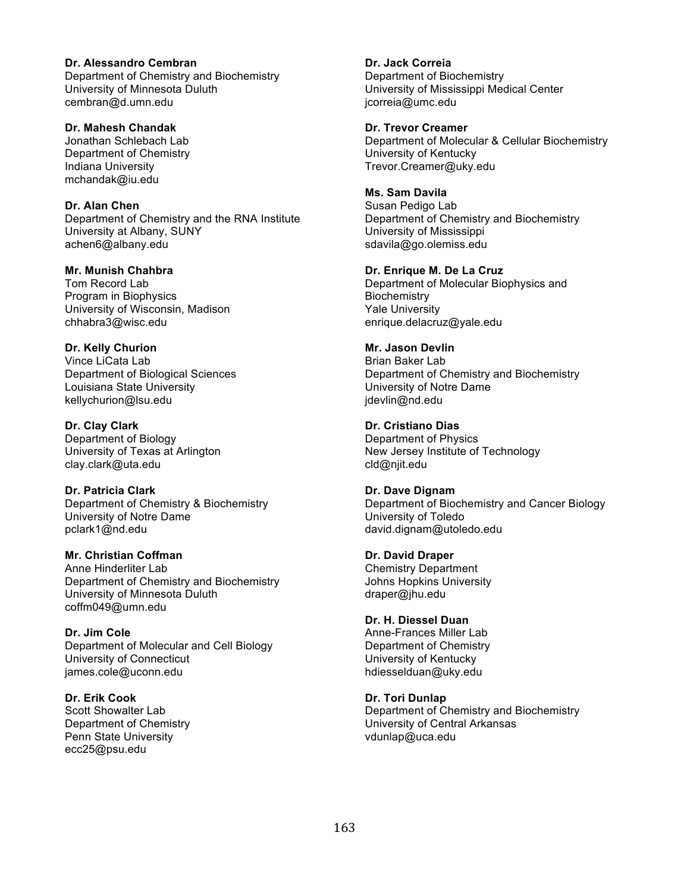**Dr. Alessandro Cembran** Department of Chemistry and Biochemistry University of Minnesota Duluth cembran@d.umn.edu

**Dr. Mahesh Chandak** Jonathan Schlebach Lab Department of Chemistry Indiana University mchandak@iu.edu

**Dr. Alan Chen** Department of Chemistry and the RNA Institute University at Albany, SUNY achen6@albany.edu

**Mr. Munish Chahbra** Tom Record Lab Program in Biophysics University of Wisconsin, Madison chhabra3@wisc.edu

**Dr. Kelly Churion** Vince LiCata Lab Department of Biological Sciences Louisiana State University kellychurion@lsu.edu

**Dr. Clay Clark** Department of Biology University of Texas at Arlington clay.clark@uta.edu

**Dr. Patricia Clark** Department of Chemistry & Biochemistry University of Notre Dame pclark1@nd.edu

**Mr. Christian Coffman** Anne Hinderliter Lab Department of Chemistry and Biochemistry University of Minnesota Duluth coffm049@umn.edu

**Dr. Jim Cole** Department of Molecular and Cell Biology University of Connecticut james.cole@uconn.edu

**Dr. Erik Cook** Scott Showalter Lab Department of Chemistry Penn State University ecc25@psu.edu

**Dr. Jack Correia** Department of Biochemistry University of Mississippi Medical Center jcorreia@umc.edu

**Dr. Trevor Creamer** Department of Molecular & Cellular Biochemistry University of Kentucky Trevor.Creamer@uky.edu

**Ms. Sam Davila** Susan Pedigo Lab Department of Chemistry and Biochemistry University of Mississippi sdavila@go.olemiss.edu

**Dr. Enrique M. De La Cruz** Department of Molecular Biophysics and **Biochemistry** Yale University enrique.delacruz@yale.edu

**Mr. Jason Devlin** Brian Baker Lab Department of Chemistry and Biochemistry University of Notre Dame jdevlin@nd.edu

**Dr. Cristiano Dias** Department of Physics New Jersey Institute of Technology cld@njit.edu

**Dr. Dave Dignam** Department of Biochemistry and Cancer Biology University of Toledo david.dignam@utoledo.edu

**Dr. David Draper** Chemistry Department Johns Hopkins University draper@jhu.edu

**Dr. H. Diessel Duan** Anne-Frances Miller Lab Department of Chemistry University of Kentucky hdiesselduan@uky.edu

**Dr. Tori Dunlap** Department of Chemistry and Biochemistry University of Central Arkansas vdunlap@uca.edu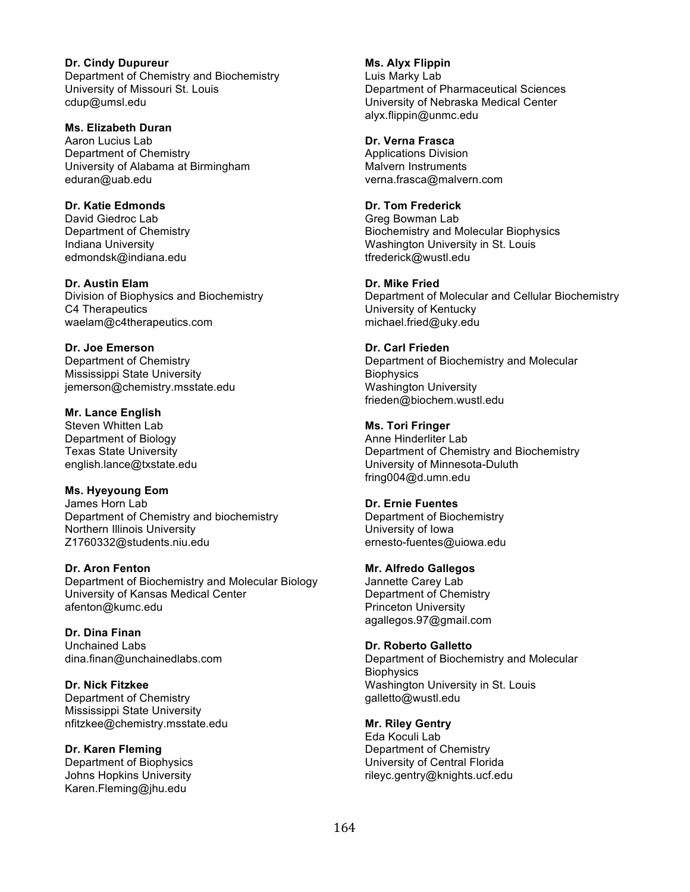**Dr. Cindy Dupureur** Department of Chemistry and Biochemistry University of Missouri St. Louis cdup@umsl.edu

**Ms. Elizabeth Duran** Aaron Lucius Lab Department of Chemistry University of Alabama at Birmingham eduran@uab.edu

**Dr. Katie Edmonds** David Giedroc Lab Department of Chemistry Indiana University edmondsk@indiana.edu

**Dr. Austin Elam** Division of Biophysics and Biochemistry C4 Therapeutics waelam@c4therapeutics.com

**Dr. Joe Emerson** Department of Chemistry Mississippi State University jemerson@chemistry.msstate.edu

**Mr. Lance English** Steven Whitten Lab Department of Biology Texas State University english.lance@txstate.edu

**Ms. Hyeyoung Eom** James Horn Lab Department of Chemistry and biochemistry Northern Illinois University Z1760332@students.niu.edu

**Dr. Aron Fenton** Department of Biochemistry and Molecular Biology University of Kansas Medical Center afenton@kumc.edu

**Dr. Dina Finan** Unchained Labs dina.finan@unchainedlabs.com

**Dr. Nick Fitzkee** Department of Chemistry Mississippi State University nfitzkee@chemistry.msstate.edu

**Dr. Karen Fleming** Department of Biophysics Johns Hopkins University Karen.Fleming@jhu.edu

**Ms. Alyx Flippin** Luis Marky Lab Department of Pharmaceutical Sciences University of Nebraska Medical Center alyx.flippin@unmc.edu

**Dr. Verna Frasca** Applications Division Malvern Instruments verna.frasca@malvern.com

**Dr. Tom Frederick** Greg Bowman Lab Biochemistry and Molecular Biophysics Washington University in St. Louis tfrederick@wustl.edu

**Dr. Mike Fried** Department of Molecular and Cellular Biochemistry University of Kentucky michael.fried@uky.edu

**Dr. Carl Frieden** Department of Biochemistry and Molecular **Biophysics** Washington University frieden@biochem.wustl.edu

**Ms. Tori Fringer** Anne Hinderliter Lab Department of Chemistry and Biochemistry University of Minnesota-Duluth fring004@d.umn.edu

**Dr. Ernie Fuentes** Department of Biochemistry University of Iowa ernesto-fuentes@uiowa.edu

**Mr. Alfredo Gallegos** Jannette Carey Lab Department of Chemistry Princeton University agallegos.97@gmail.com

**Dr. Roberto Galletto** Department of Biochemistry and Molecular **Biophysics** Washington University in St. Louis galletto@wustl.edu

**Mr. Riley Gentry** Eda Koculi Lab Department of Chemistry University of Central Florida rileyc.gentry@knights.ucf.edu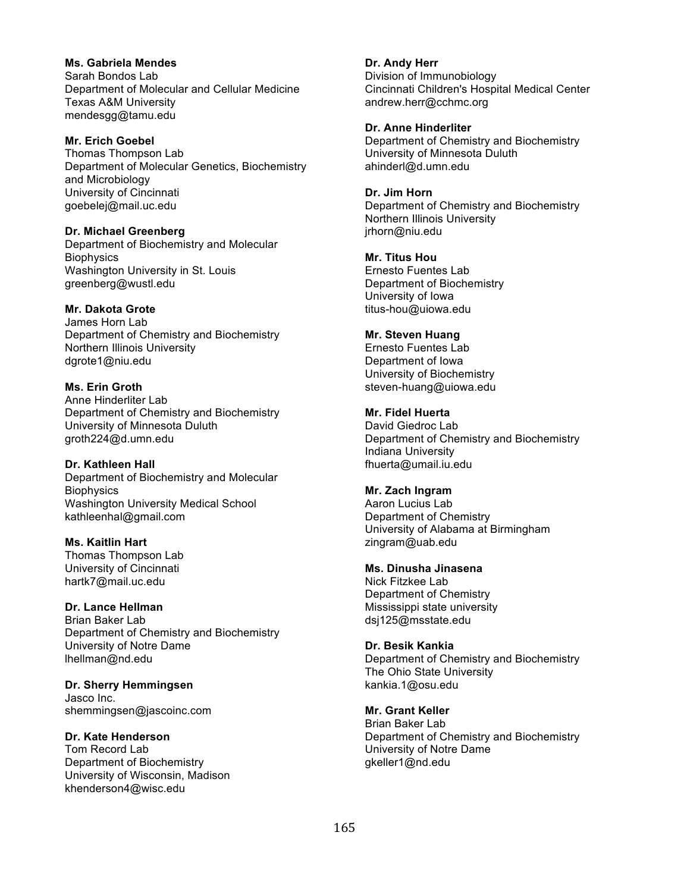**Ms. Gabriela Mendes** Sarah Bondos Lab Department of Molecular and Cellular Medicine Texas A&M University mendesgg@tamu.edu

#### **Mr. Erich Goebel**

Thomas Thompson Lab Department of Molecular Genetics, Biochemistry and Microbiology University of Cincinnati goebelej@mail.uc.edu

**Dr. Michael Greenberg**

Department of Biochemistry and Molecular **Biophysics** Washington University in St. Louis greenberg@wustl.edu

#### **Mr. Dakota Grote**

James Horn Lab Department of Chemistry and Biochemistry Northern Illinois University dgrote1@niu.edu

#### **Ms. Erin Groth**

Anne Hinderliter Lab Department of Chemistry and Biochemistry University of Minnesota Duluth groth224@d.umn.edu

**Dr. Kathleen Hall**

Department of Biochemistry and Molecular **Biophysics** Washington University Medical School kathleenhal@gmail.com

**Ms. Kaitlin Hart** Thomas Thompson Lab University of Cincinnati hartk7@mail.uc.edu

#### **Dr. Lance Hellman**

Brian Baker Lab Department of Chemistry and Biochemistry University of Notre Dame lhellman@nd.edu

**Dr. Sherry Hemmingsen** Jasco Inc. shemmingsen@jascoinc.com

#### **Dr. Kate Henderson**

Tom Record Lab Department of Biochemistry University of Wisconsin, Madison khenderson4@wisc.edu

**Dr. Andy Herr** Division of Immunobiology Cincinnati Children's Hospital Medical Center andrew.herr@cchmc.org

**Dr. Anne Hinderliter** Department of Chemistry and Biochemistry University of Minnesota Duluth ahinderl@d.umn.edu

**Dr. Jim Horn** Department of Chemistry and Biochemistry Northern Illinois University jrhorn@niu.edu

**Mr. Titus Hou** Ernesto Fuentes Lab Department of Biochemistry University of Iowa

## **Mr. Steven Huang**

titus-hou@uiowa.edu

Ernesto Fuentes Lab Department of Iowa University of Biochemistry steven-huang@uiowa.edu

## **Mr. Fidel Huerta**

David Giedroc Lab Department of Chemistry and Biochemistry Indiana University fhuerta@umail.iu.edu

#### **Mr. Zach Ingram**

Aaron Lucius Lab Department of Chemistry University of Alabama at Birmingham zingram@uab.edu

#### **Ms. Dinusha Jinasena**

Nick Fitzkee Lab Department of Chemistry Mississippi state university dsj125@msstate.edu

#### **Dr. Besik Kankia**

Department of Chemistry and Biochemistry The Ohio State University kankia.1@osu.edu

#### **Mr. Grant Keller**

Brian Baker Lab Department of Chemistry and Biochemistry University of Notre Dame gkeller1@nd.edu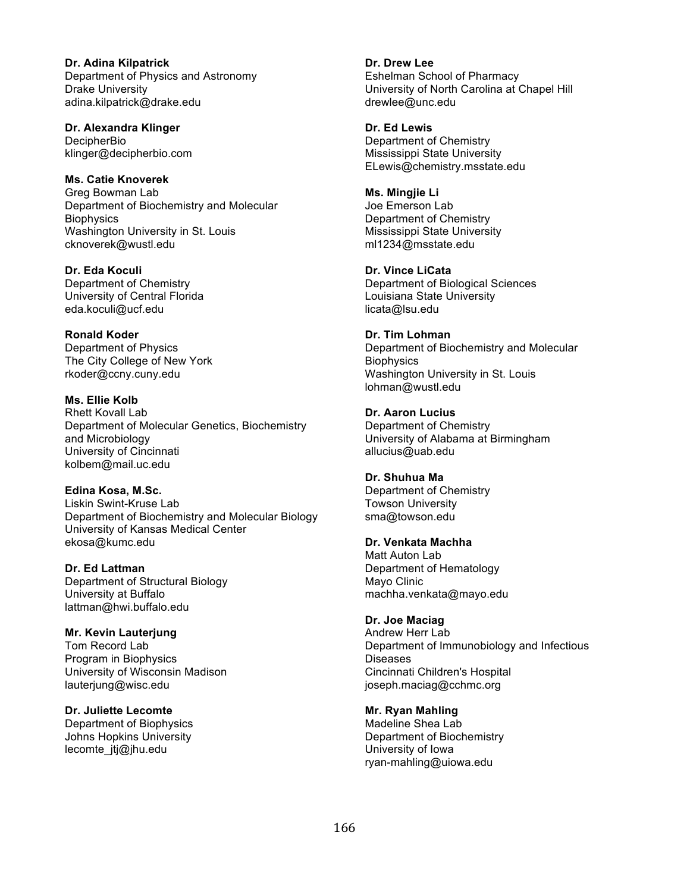**Dr. Adina Kilpatrick** Department of Physics and Astronomy Drake University adina.kilpatrick@drake.edu

**Dr. Alexandra Klinger DecipherBio** klinger@decipherbio.com

**Ms. Catie Knoverek** Greg Bowman Lab Department of Biochemistry and Molecular **Biophysics** Washington University in St. Louis cknoverek@wustl.edu

**Dr. Eda Koculi** Department of Chemistry University of Central Florida eda.koculi@ucf.edu

**Ronald Koder** Department of Physics The City College of New York rkoder@ccny.cuny.edu

**Ms. Ellie Kolb** Rhett Kovall Lab Department of Molecular Genetics, Biochemistry and Microbiology University of Cincinnati kolbem@mail.uc.edu

**Edina Kosa, M.Sc.** Liskin Swint-Kruse Lab Department of Biochemistry and Molecular Biology University of Kansas Medical Center ekosa@kumc.edu

**Dr. Ed Lattman** Department of Structural Biology University at Buffalo lattman@hwi.buffalo.edu

**Mr. Kevin Lauterjung** Tom Record Lab Program in Biophysics University of Wisconsin Madison lauterjung@wisc.edu

**Dr. Juliette Lecomte** Department of Biophysics Johns Hopkins University lecomte\_jtj@jhu.edu

**Dr. Drew Lee** Eshelman School of Pharmacy University of North Carolina at Chapel Hill drewlee@unc.edu

**Dr. Ed Lewis** Department of Chemistry Mississippi State University ELewis@chemistry.msstate.edu

**Ms. Mingjie Li** Joe Emerson Lab Department of Chemistry Mississippi State University ml1234@msstate.edu

**Dr. Vince LiCata** Department of Biological Sciences Louisiana State University licata@lsu.edu

**Dr. Tim Lohman** Department of Biochemistry and Molecular **Biophysics** Washington University in St. Louis lohman@wustl.edu

**Dr. Aaron Lucius** Department of Chemistry University of Alabama at Birmingham allucius@uab.edu

**Dr. Shuhua Ma** Department of Chemistry Towson University sma@towson.edu

**Dr. Venkata Machha** Matt Auton Lab Department of Hematology Mayo Clinic machha.venkata@mayo.edu

**Dr. Joe Maciag** Andrew Herr Lab Department of Immunobiology and Infectious Diseases Cincinnati Children's Hospital joseph.maciag@cchmc.org

**Mr. Ryan Mahling** Madeline Shea Lab Department of Biochemistry University of Iowa ryan-mahling@uiowa.edu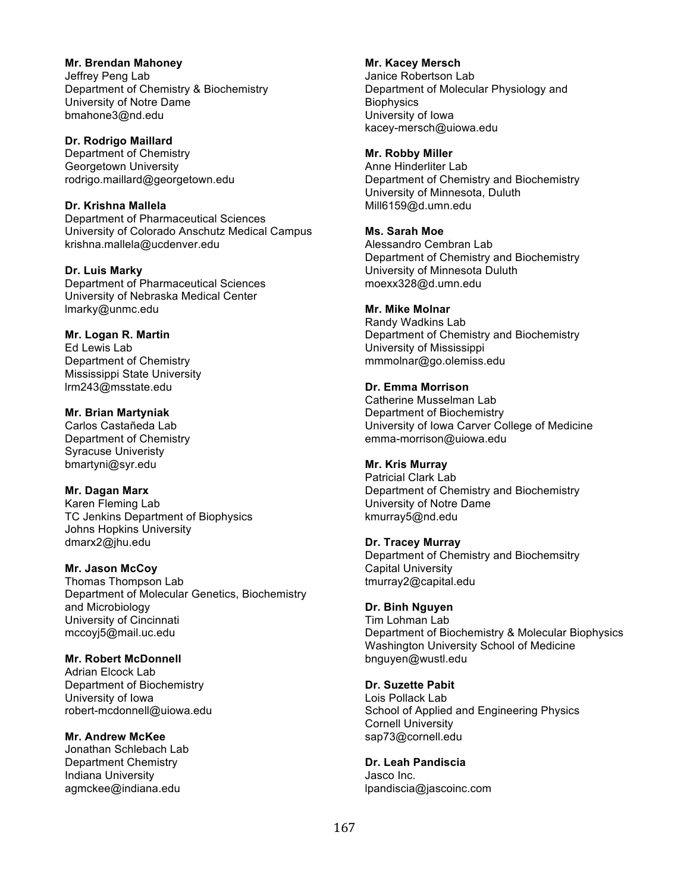**Mr. Brendan Mahoney**

Jeffrey Peng Lab Department of Chemistry & Biochemistry University of Notre Dame bmahone3@nd.edu

**Dr. Rodrigo Maillard** Department of Chemistry Georgetown University rodrigo.maillard@georgetown.edu

**Dr. Krishna Mallela** Department of Pharmaceutical Sciences University of Colorado Anschutz Medical Campus krishna.mallela@ucdenver.edu

**Dr. Luis Marky** Department of Pharmaceutical Sciences University of Nebraska Medical Center lmarky@unmc.edu

**Mr. Logan R. Martin** Ed Lewis Lab Department of Chemistry Mississippi State University lrm243@msstate.edu

**Mr. Brian Martyniak** Carlos Castañeda Lab Department of Chemistry Syracuse Univeristy bmartyni@syr.edu

**Mr. Dagan Marx** Karen Fleming Lab TC Jenkins Department of Biophysics Johns Hopkins University dmarx2@jhu.edu

**Mr. Jason McCoy** Thomas Thompson Lab Department of Molecular Genetics, Biochemistry and Microbiology University of Cincinnati mccoyj5@mail.uc.edu

**Mr. Robert McDonnell** Adrian Elcock Lab Department of Biochemistry University of Iowa robert-mcdonnell@uiowa.edu

**Mr. Andrew McKee** Jonathan Schlebach Lab Department Chemistry Indiana University agmckee@indiana.edu

**Mr. Kacey Mersch** Janice Robertson Lab Department of Molecular Physiology and **Biophysics** University of Iowa kacey-mersch@uiowa.edu

**Mr. Robby Miller** Anne Hinderliter Lab Department of Chemistry and Biochemistry University of Minnesota, Duluth Mill6159@d.umn.edu

**Ms. Sarah Moe** Alessandro Cembran Lab Department of Chemistry and Biochemistry University of Minnesota Duluth moexx328@d.umn.edu

**Mr. Mike Molnar** Randy Wadkins Lab Department of Chemistry and Biochemistry University of Mississippi mmmolnar@go.olemiss.edu

**Dr. Emma Morrison** Catherine Musselman Lab Department of Biochemistry University of Iowa Carver College of Medicine emma-morrison@uiowa.edu

**Mr. Kris Murray** Patricial Clark Lab Department of Chemistry and Biochemistry University of Notre Dame kmurray5@nd.edu

**Dr. Tracey Murray** Department of Chemistry and Biochemsitry Capital University tmurray2@capital.edu

**Dr. Binh Nguyen** Tim Lohman Lab Department of Biochemistry & Molecular Biophysics Washington University School of Medicine bnguyen@wustl.edu

**Dr. Suzette Pabit** Lois Pollack Lab School of Applied and Engineering Physics Cornell University sap73@cornell.edu

**Dr. Leah Pandiscia** Jasco Inc. lpandiscia@jascoinc.com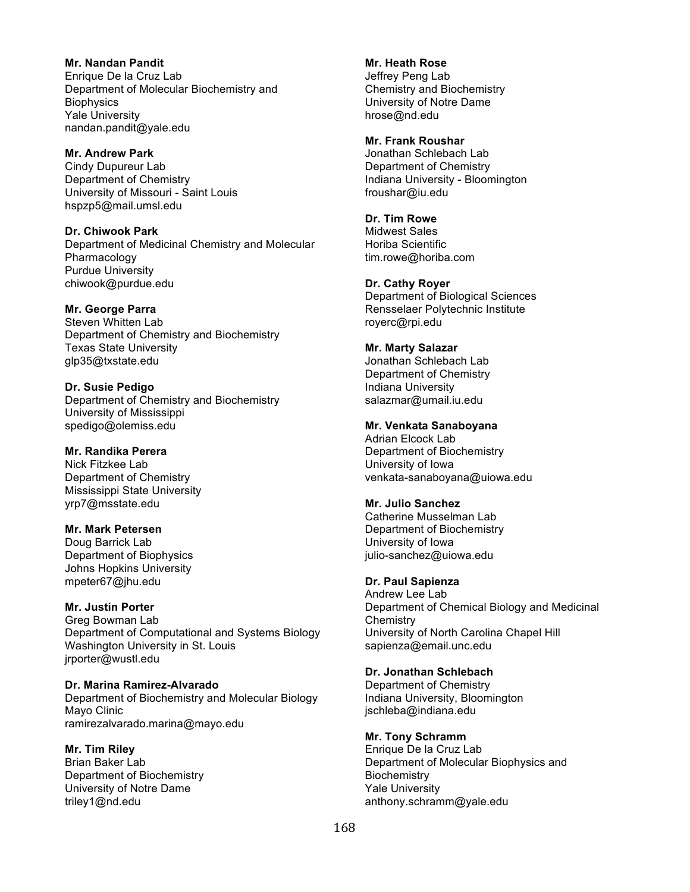**Mr. Nandan Pandit** Enrique De la Cruz Lab Department of Molecular Biochemistry and **Biophysics** Yale University nandan.pandit@yale.edu

**Mr. Andrew Park**

Cindy Dupureur Lab Department of Chemistry University of Missouri - Saint Louis hspzp5@mail.umsl.edu

**Dr. Chiwook Park** Department of Medicinal Chemistry and Molecular Pharmacology Purdue University chiwook@purdue.edu

## **Mr. George Parra**

Steven Whitten Lab Department of Chemistry and Biochemistry Texas State University glp35@txstate.edu

**Dr. Susie Pedigo** Department of Chemistry and Biochemistry University of Mississippi spedigo@olemiss.edu

**Mr. Randika Perera**

Nick Fitzkee Lab Department of Chemistry Mississippi State University yrp7@msstate.edu

#### **Mr. Mark Petersen**

Doug Barrick Lab Department of Biophysics Johns Hopkins University mpeter67@jhu.edu

## **Mr. Justin Porter**

Greg Bowman Lab Department of Computational and Systems Biology Washington University in St. Louis jrporter@wustl.edu

**Dr. Marina Ramirez-Alvarado** Department of Biochemistry and Molecular Biology Mayo Clinic ramirezalvarado.marina@mayo.edu

#### **Mr. Tim Riley**

Brian Baker Lab Department of Biochemistry University of Notre Dame triley1@nd.edu

**Mr. Heath Rose** Jeffrey Peng Lab Chemistry and Biochemistry University of Notre Dame hrose@nd.edu

#### **Mr. Frank Roushar**

Jonathan Schlebach Lab Department of Chemistry Indiana University - Bloomington froushar@iu.edu

## **Dr. Tim Rowe**

Midwest Sales Horiba Scientific tim.rowe@horiba.com

#### **Dr. Cathy Royer**

Department of Biological Sciences Rensselaer Polytechnic Institute royerc@rpi.edu

# **Mr. Marty Salazar**

Jonathan Schlebach Lab Department of Chemistry Indiana University salazmar@umail.iu.edu

#### **Mr. Venkata Sanaboyana**

Adrian Elcock Lab Department of Biochemistry University of Iowa venkata-sanaboyana@uiowa.edu

#### **Mr. Julio Sanchez**

Catherine Musselman Lab Department of Biochemistry University of Iowa julio-sanchez@uiowa.edu

## **Dr. Paul Sapienza**

Andrew Lee Lab Department of Chemical Biology and Medicinal **Chemistry** University of North Carolina Chapel Hill sapienza@email.unc.edu

# **Dr. Jonathan Schlebach**

Department of Chemistry Indiana University, Bloomington jschleba@indiana.edu

# **Mr. Tony Schramm**

Enrique De la Cruz Lab Department of Molecular Biophysics and **Biochemistry** Yale University anthony.schramm@yale.edu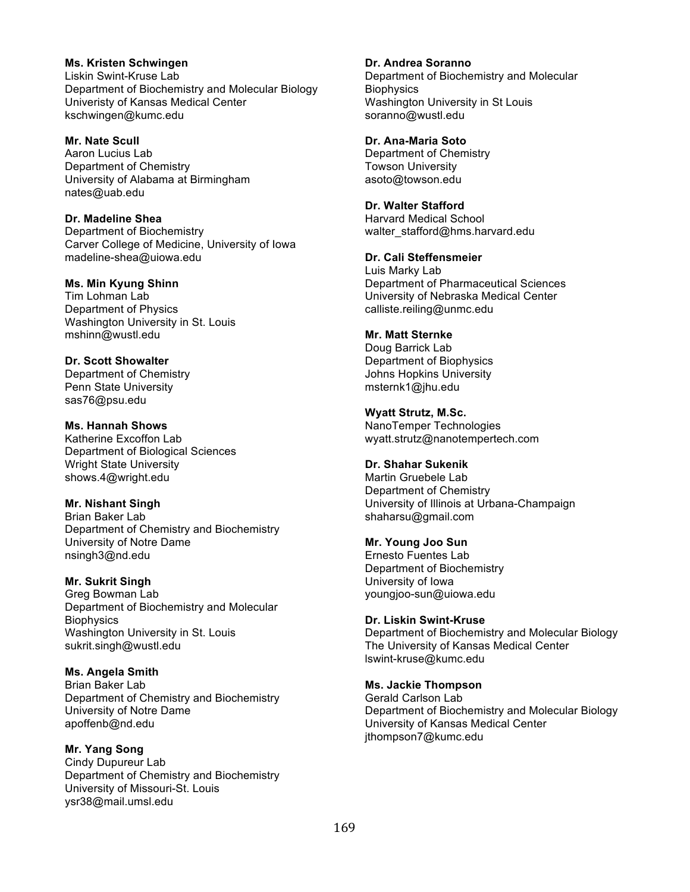**Ms. Kristen Schwingen** Liskin Swint-Kruse Lab Department of Biochemistry and Molecular Biology Univeristy of Kansas Medical Center kschwingen@kumc.edu

**Mr. Nate Scull** Aaron Lucius Lab Department of Chemistry University of Alabama at Birmingham nates@uab.edu

**Dr. Madeline Shea** Department of Biochemistry Carver College of Medicine, University of Iowa madeline-shea@uiowa.edu

**Ms. Min Kyung Shinn**

Tim Lohman Lab Department of Physics Washington University in St. Louis mshinn@wustl.edu

**Dr. Scott Showalter** Department of Chemistry Penn State University sas76@psu.edu

**Ms. Hannah Shows** Katherine Excoffon Lab Department of Biological Sciences Wright State University shows.4@wright.edu

**Mr. Nishant Singh** Brian Baker Lab Department of Chemistry and Biochemistry University of Notre Dame nsingh3@nd.edu

**Mr. Sukrit Singh** Greg Bowman Lab Department of Biochemistry and Molecular **Biophysics** Washington University in St. Louis sukrit.singh@wustl.edu

**Ms. Angela Smith** Brian Baker Lab Department of Chemistry and Biochemistry University of Notre Dame apoffenb@nd.edu

**Mr. Yang Song** Cindy Dupureur Lab Department of Chemistry and Biochemistry University of Missouri-St. Louis ysr38@mail.umsl.edu

**Dr. Andrea Soranno** Department of Biochemistry and Molecular **Biophysics** 

Washington University in St Louis soranno@wustl.edu

**Dr. Ana-Maria Soto** Department of Chemistry Towson University

asoto@towson.edu

**Dr. Walter Stafford** Harvard Medical School walter\_stafford@hms.harvard.edu

**Dr. Cali Steffensmeier** Luis Marky Lab Department of Pharmaceutical Sciences University of Nebraska Medical Center calliste.reiling@unmc.edu

**Mr. Matt Sternke** Doug Barrick Lab Department of Biophysics Johns Hopkins University msternk1@jhu.edu

**Wyatt Strutz, M.Sc.** NanoTemper Technologies wyatt.strutz@nanotempertech.com

**Dr. Shahar Sukenik** Martin Gruebele Lab Department of Chemistry University of Illinois at Urbana-Champaign shaharsu@gmail.com

**Mr. Young Joo Sun** Ernesto Fuentes Lab Department of Biochemistry University of Iowa youngjoo-sun@uiowa.edu

**Dr. Liskin Swint-Kruse** Department of Biochemistry and Molecular Biology The University of Kansas Medical Center lswint-kruse@kumc.edu

**Ms. Jackie Thompson** Gerald Carlson Lab Department of Biochemistry and Molecular Biology University of Kansas Medical Center jthompson7@kumc.edu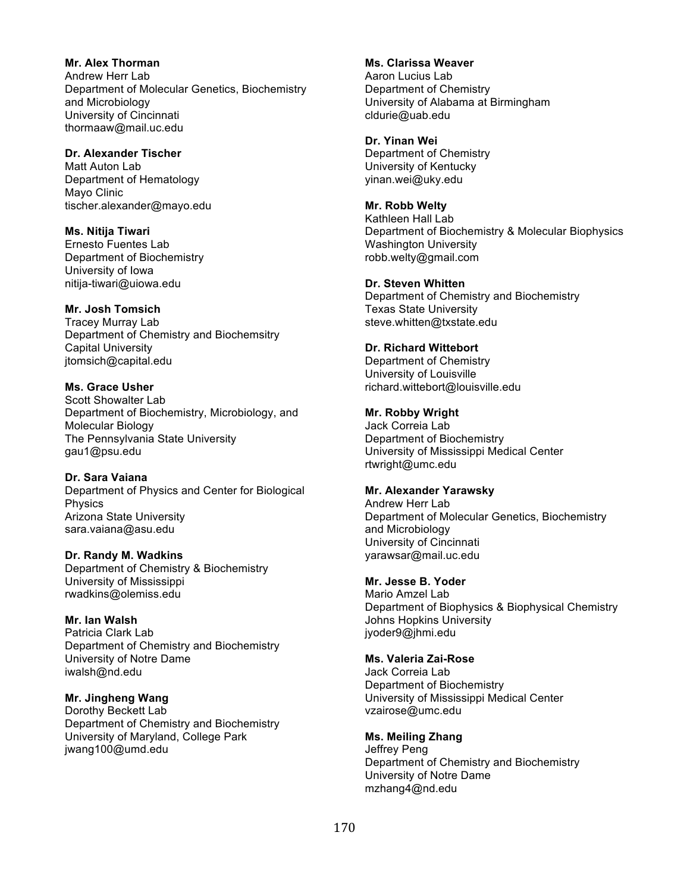**Mr. Alex Thorman** Andrew Herr Lab Department of Molecular Genetics, Biochemistry and Microbiology University of Cincinnati thormaaw@mail.uc.edu

# **Dr. Alexander Tischer**

Matt Auton Lab Department of Hematology Mayo Clinic tischer.alexander@mayo.edu

**Ms. Nitija Tiwari** Ernesto Fuentes Lab Department of Biochemistry University of Iowa nitija-tiwari@uiowa.edu

#### **Mr. Josh Tomsich**

Tracey Murray Lab Department of Chemistry and Biochemsitry Capital University jtomsich@capital.edu

**Ms. Grace Usher**

Scott Showalter Lab Department of Biochemistry, Microbiology, and Molecular Biology The Pennsylvania State University gau1@psu.edu

#### **Dr. Sara Vaiana**

Department of Physics and Center for Biological Physics Arizona State University sara.vaiana@asu.edu

#### **Dr. Randy M. Wadkins**

Department of Chemistry & Biochemistry University of Mississippi rwadkins@olemiss.edu

# **Mr. Ian Walsh**

Patricia Clark Lab Department of Chemistry and Biochemistry University of Notre Dame iwalsh@nd.edu

#### **Mr. Jingheng Wang**

Dorothy Beckett Lab Department of Chemistry and Biochemistry University of Maryland, College Park jwang100@umd.edu

**Ms. Clarissa Weaver**

Aaron Lucius Lab Department of Chemistry University of Alabama at Birmingham cldurie@uab.edu

## **Dr. Yinan Wei**

Department of Chemistry University of Kentucky yinan.wei@uky.edu

**Mr. Robb Welty**

Kathleen Hall Lab Department of Biochemistry & Molecular Biophysics Washington University robb.welty@gmail.com

#### **Dr. Steven Whitten**

Department of Chemistry and Biochemistry Texas State University steve.whitten@txstate.edu

# **Dr. Richard Wittebort**

Department of Chemistry University of Louisville richard.wittebort@louisville.edu

#### **Mr. Robby Wright**

Jack Correia Lab Department of Biochemistry University of Mississippi Medical Center rtwright@umc.edu

#### **Mr. Alexander Yarawsky**

Andrew Herr Lab Department of Molecular Genetics, Biochemistry and Microbiology University of Cincinnati yarawsar@mail.uc.edu

#### **Mr. Jesse B. Yoder**

Mario Amzel Lab Department of Biophysics & Biophysical Chemistry Johns Hopkins University jyoder9@jhmi.edu

### **Ms. Valeria Zai-Rose**

Jack Correia Lab Department of Biochemistry University of Mississippi Medical Center vzairose@umc.edu

## **Ms. Meiling Zhang**

Jeffrey Peng Department of Chemistry and Biochemistry University of Notre Dame mzhang4@nd.edu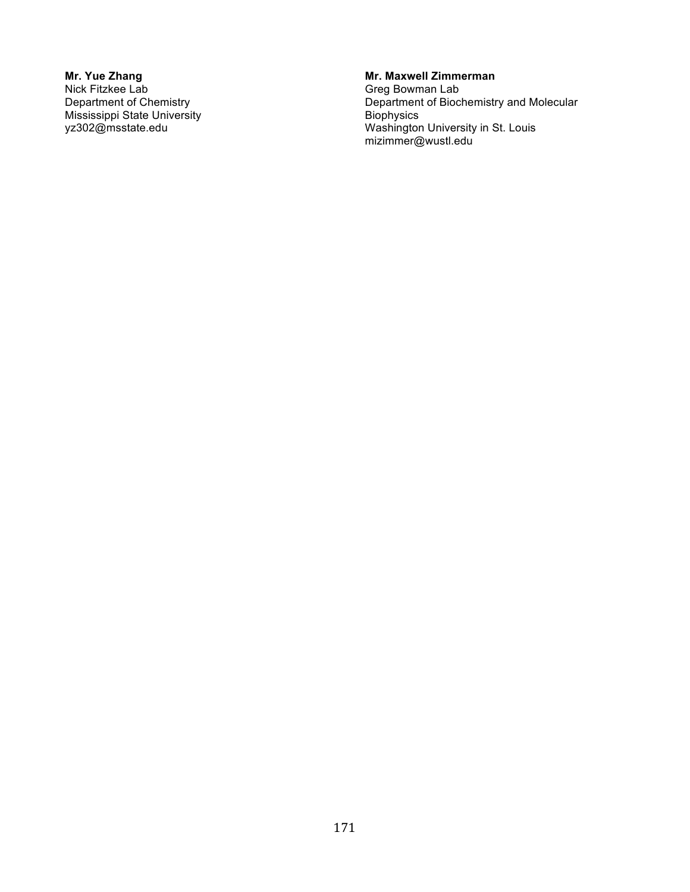## **Mr. Yue Zhang** Nick Fitzkee Lab Department of Chemistry Mississippi State University yz302@msstate.edu

# **Mr. Maxwell Zimmerman**

Greg Bowman Lab Department of Biochemistry and Molecular **Biophysics** Washington University in St. Louis mizimmer@wustl.edu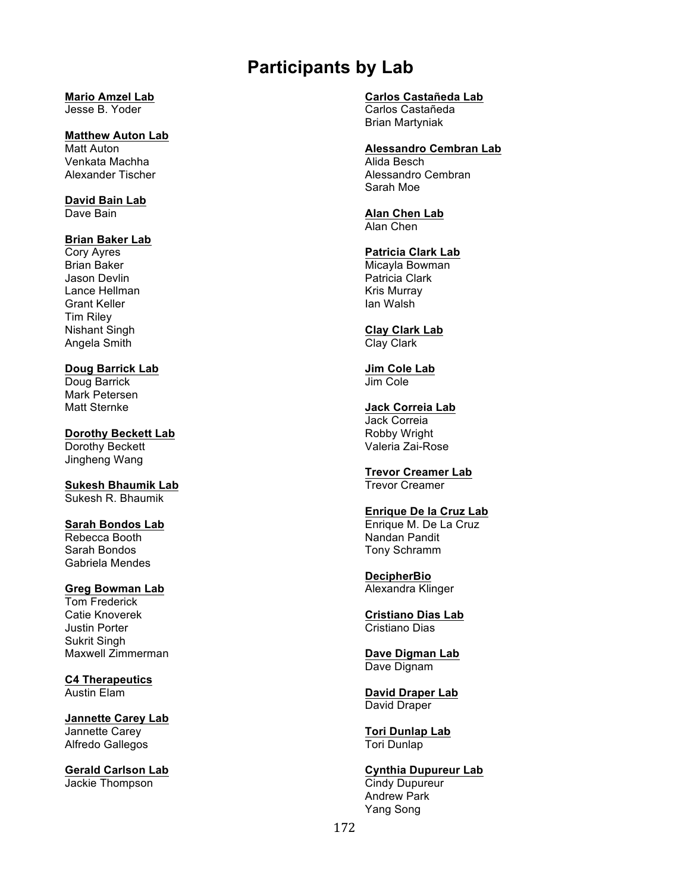# **Participants by Lab**

# **Mario Amzel Lab**

Jesse B. Yoder

# **Matthew Auton Lab**

Matt Auton Venkata Machha Alexander Tischer

**David Bain Lab** Dave Bain

# **Brian Baker Lab**

Cory Ayres Brian Baker Jason Devlin Lance Hellman Grant Keller Tim Riley Nishant Singh Angela Smith

# **Doug Barrick Lab**

Doug Barrick Mark Petersen Matt Sternke

# **Dorothy Beckett Lab**

Dorothy Beckett Jingheng Wang

#### **Sukesh Bhaumik Lab** Sukesh R. Bhaumik

**Sarah Bondos Lab** Rebecca Booth Sarah Bondos Gabriela Mendes

# **Greg Bowman Lab**

Tom Frederick Catie Knoverek Justin Porter Sukrit Singh Maxwell Zimmerman

**C4 Therapeutics** Austin Elam

# **Jannette Carey Lab** Jannette Carey Alfredo Gallegos

**Gerald Carlson Lab** Jackie Thompson

#### **Carlos Castañeda Lab** Carlos Castañeda

Brian Martyniak

# **Alessandro Cembran Lab**

Alida Besch Alessandro Cembran Sarah Moe

#### **Alan Chen Lab** Alan Chen

# **Patricia Clark Lab**

Micayla Bowman Patricia Clark Kris Murray Ian Walsh

#### **Clay Clark Lab** Clay Clark

**Jim Cole Lab** Jim Cole

#### **Jack Correia Lab** Jack Correia Robby Wright Valeria Zai-Rose

## **Trevor Creamer Lab** Trevor Creamer

# **Enrique De la Cruz Lab**

Enrique M. De La Cruz Nandan Pandit Tony Schramm

## **DecipherBio** Alexandra Klinger

# **Cristiano Dias Lab** Cristiano Dias

**Dave Digman Lab** Dave Dignam

## **David Draper Lab** David Draper

# **Tori Dunlap Lab** Tori Dunlap

# **Cynthia Dupureur Lab**

Cindy Dupureur Andrew Park Yang Song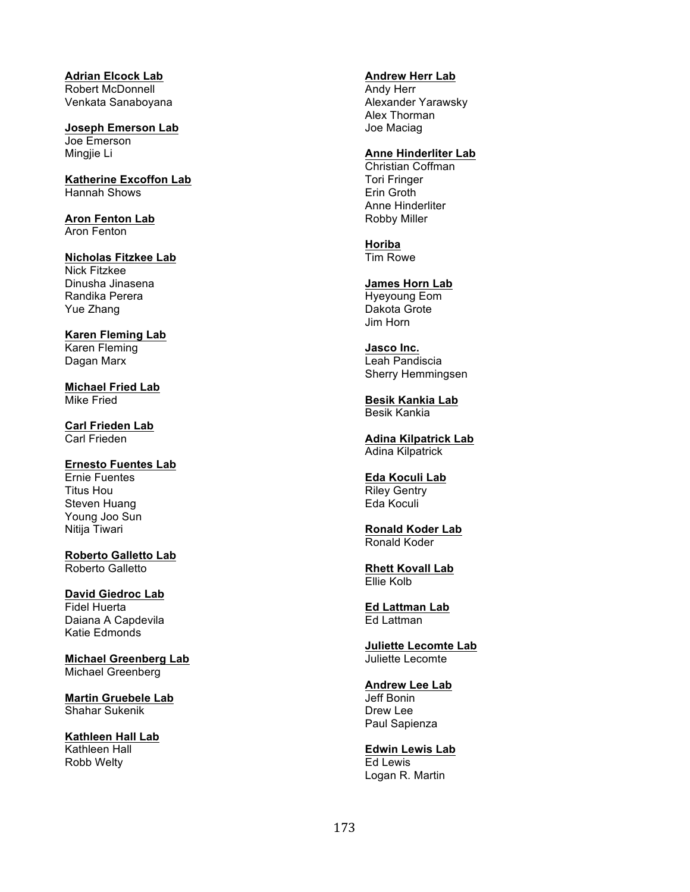**Adrian Elcock Lab** Robert McDonnell Venkata Sanaboyana

**Joseph Emerson Lab** Joe Emerson Mingjie Li

**Katherine Excoffon Lab** Hannah Shows

**Aron Fenton Lab** Aron Fenton

**Nicholas Fitzkee Lab** Nick Fitzkee Dinusha Jinasena Randika Perera Yue Zhang

**Karen Fleming Lab** Karen Fleming Dagan Marx

**Michael Fried Lab** Mike Fried

**Carl Frieden Lab** Carl Frieden

**Ernesto Fuentes Lab** Ernie Fuentes Titus Hou Steven Huang Young Joo Sun Nitija Tiwari

**Roberto Galletto Lab** Roberto Galletto

**David Giedroc Lab** Fidel Huerta Daiana A Capdevila Katie Edmonds

**Michael Greenberg Lab** Michael Greenberg

**Martin Gruebele Lab** Shahar Sukenik

**Kathleen Hall Lab** Kathleen Hall Robb Welty

**Andrew Herr Lab**

Andy Herr Alexander Yarawsky Alex Thorman Joe Maciag

**Anne Hinderliter Lab**

Christian Coffman Tori Fringer Erin Groth Anne Hinderliter Robby Miller

**Horiba** Tim Rowe

**James Horn Lab** Hyeyoung Eom Dakota Grote Jim Horn

**Jasco Inc.** Leah Pandiscia Sherry Hemmingsen

**Besik Kankia Lab** Besik Kankia

**Adina Kilpatrick Lab** Adina Kilpatrick

**Eda Koculi Lab** Riley Gentry Eda Koculi

**Ronald Koder Lab** Ronald Koder

**Rhett Kovall Lab** Ellie Kolb

**Ed Lattman Lab** Ed Lattman

**Juliette Lecomte Lab** Juliette Lecomte

**Andrew Lee Lab** Jeff Bonin Drew Lee Paul Sapienza

**Edwin Lewis Lab** Ed Lewis Logan R. Martin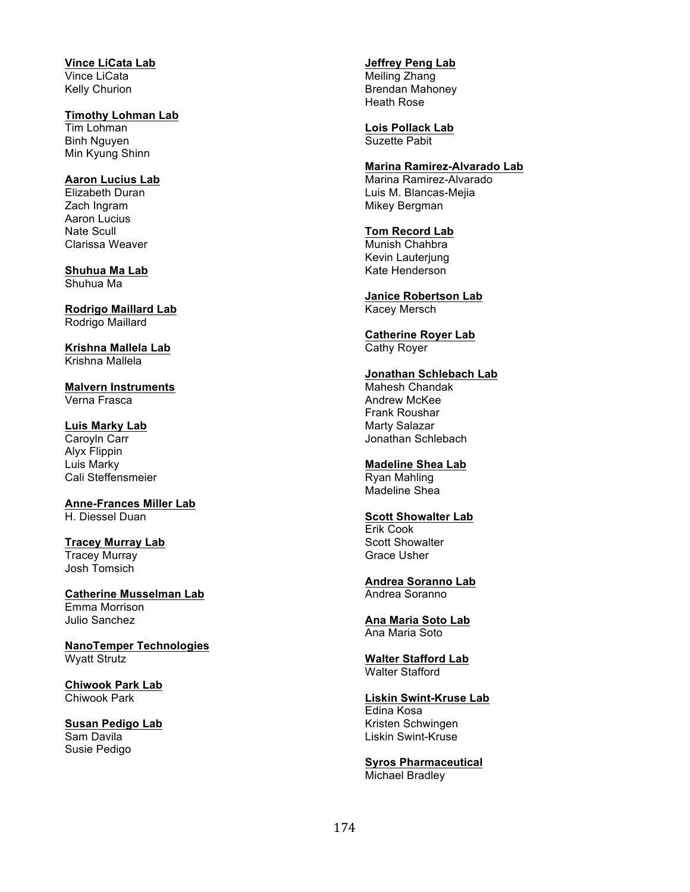**Vince LiCata Lab** Vince LiCata Kelly Churion

**Timothy Lohman Lab** Tim Lohman Binh Nguyen Min Kyung Shinn

**Aaron Lucius Lab** Elizabeth Duran Zach Ingram Aaron Lucius Nate Scull Clarissa Weaver

**Shuhua Ma Lab** Shuhua Ma

**Rodrigo Maillard Lab** Rodrigo Maillard

**Krishna Mallela Lab** Krishna Mallela

**Malvern Instruments** Verna Frasca

**Luis Marky Lab** Caroyln Carr Alyx Flippin Luis Marky Cali Steffensmeier

**Anne-Frances Miller Lab** H. Diessel Duan

**Tracey Murray Lab** Tracey Murray Josh Tomsich

**Catherine Musselman Lab** Emma Morrison Julio Sanchez

**NanoTemper Technologies** Wyatt Strutz

**Chiwook Park Lab** Chiwook Park

**Susan Pedigo Lab** Sam Davila Susie Pedigo

**Jeffrey Peng Lab**

Meiling Zhang Brendan Mahoney Heath Rose

**Lois Pollack Lab** Suzette Pabit

**Marina Ramirez-Alvarado Lab** Marina Ramirez-Alvarado Luis M. Blancas-Mejia Mikey Bergman

**Tom Record Lab** Munish Chahbra

Kevin Lauterjung Kate Henderson

**Janice Robertson Lab** Kacey Mersch

**Catherine Royer Lab** Cathy Royer

**Jonathan Schlebach Lab** Mahesh Chandak Andrew McKee Frank Roushar Marty Salazar

Jonathan Schlebach **Madeline Shea Lab** Ryan Mahling Madeline Shea

**Scott Showalter Lab** Erik Cook Scott Showalter

Grace Usher

**Andrea Soranno Lab** Andrea Soranno

**Ana Maria Soto Lab** Ana Maria Soto

**Walter Stafford Lab** Walter Stafford

**Liskin Swint-Kruse Lab** Edina Kosa Kristen Schwingen Liskin Swint-Kruse

**Syros Pharmaceutical** Michael Bradley